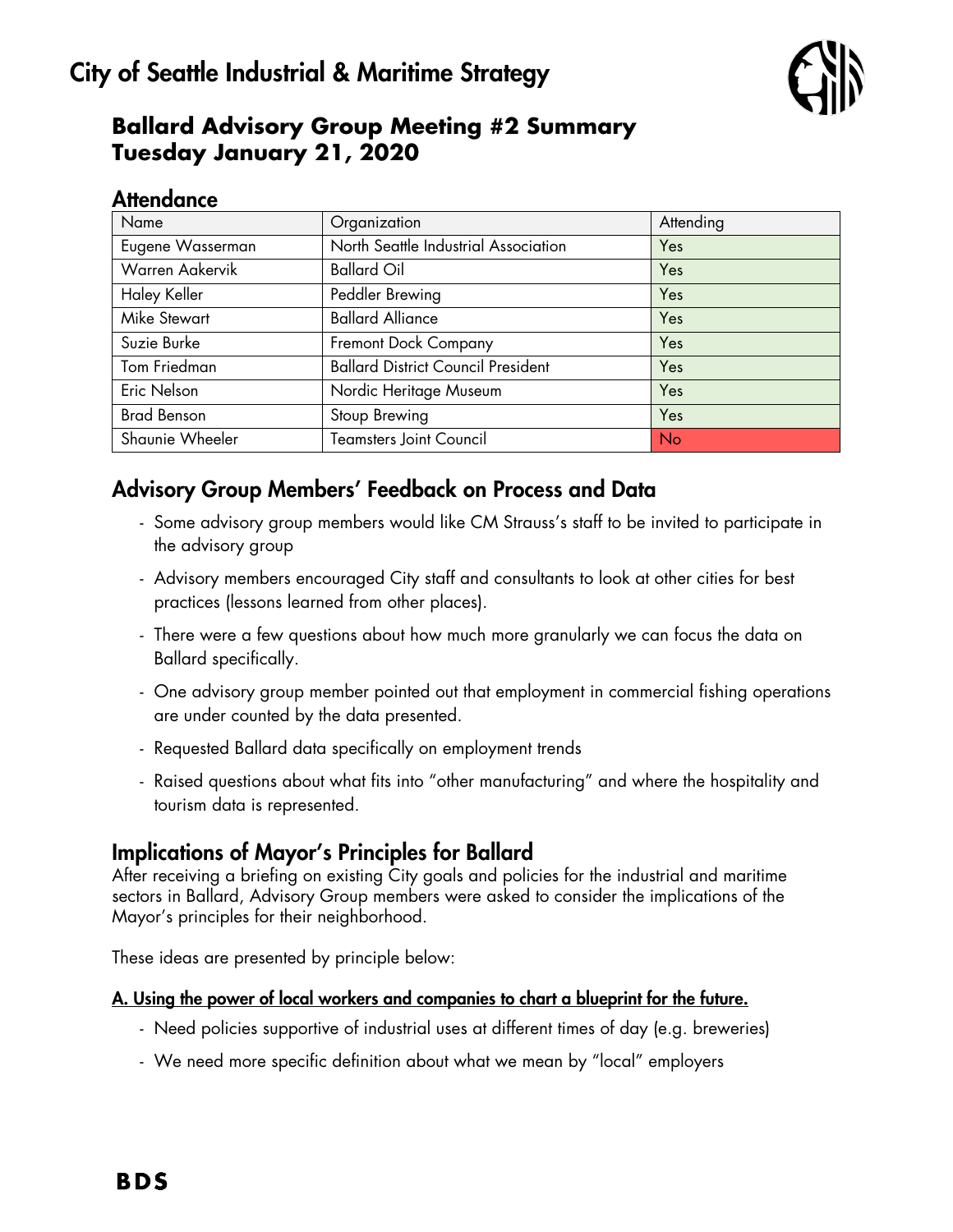

# **Ballard Advisory Group Meeting #2 Summary Tuesday January 21, 2020**

## **Attendance**

| Name                   | Organization                              | Attending |  |  |  |
|------------------------|-------------------------------------------|-----------|--|--|--|
| Eugene Wasserman       | North Seattle Industrial Association      | Yes       |  |  |  |
| <b>Warren Aakervik</b> | <b>Ballard Oil</b>                        | Yes       |  |  |  |
| Haley Keller           | Peddler Brewing                           | Yes       |  |  |  |
| <b>Mike Stewart</b>    | <b>Ballard Alliance</b>                   | Yes       |  |  |  |
| Suzie Burke            | Fremont Dock Company                      | Yes       |  |  |  |
| Tom Friedman           | <b>Ballard District Council President</b> | Yes       |  |  |  |
| Eric Nelson            | Nordic Heritage Museum                    | Yes       |  |  |  |
| <b>Brad Benson</b>     | Stoup Brewing                             | Yes       |  |  |  |
| Shaunie Wheeler        | <b>Teamsters Joint Council</b>            | <b>No</b> |  |  |  |

# Advisory Group Members' Feedback on Process and Data

- Some advisory group members would like CM Strauss's staff to be invited to participate in the advisory group
- Advisory members encouraged City staff and consultants to look at other cities for best practices (lessons learned from other places).
- There were a few questions about how much more granularly we can focus the data on Ballard specifically.
- One advisory group member pointed out that employment in commercial fishing operations are under counted by the data presented.
- Requested Ballard data specifically on employment trends
- Raised questions about what fits into "other manufacturing" and where the hospitality and tourism data is represented.

# Implications of Mayor's Principles for Ballard

After receiving a briefing on existing City goals and policies for the industrial and maritime sectors in Ballard, Advisory Group members were asked to consider the implications of the Mayor's principles for their neighborhood.

These ideas are presented by principle below:

### A. Using the power of local workers and companies to chart a blueprint for the future.

- Need policies supportive of industrial uses at different times of day (e.g. breweries)
- We need more specific definition about what we mean by "local" employers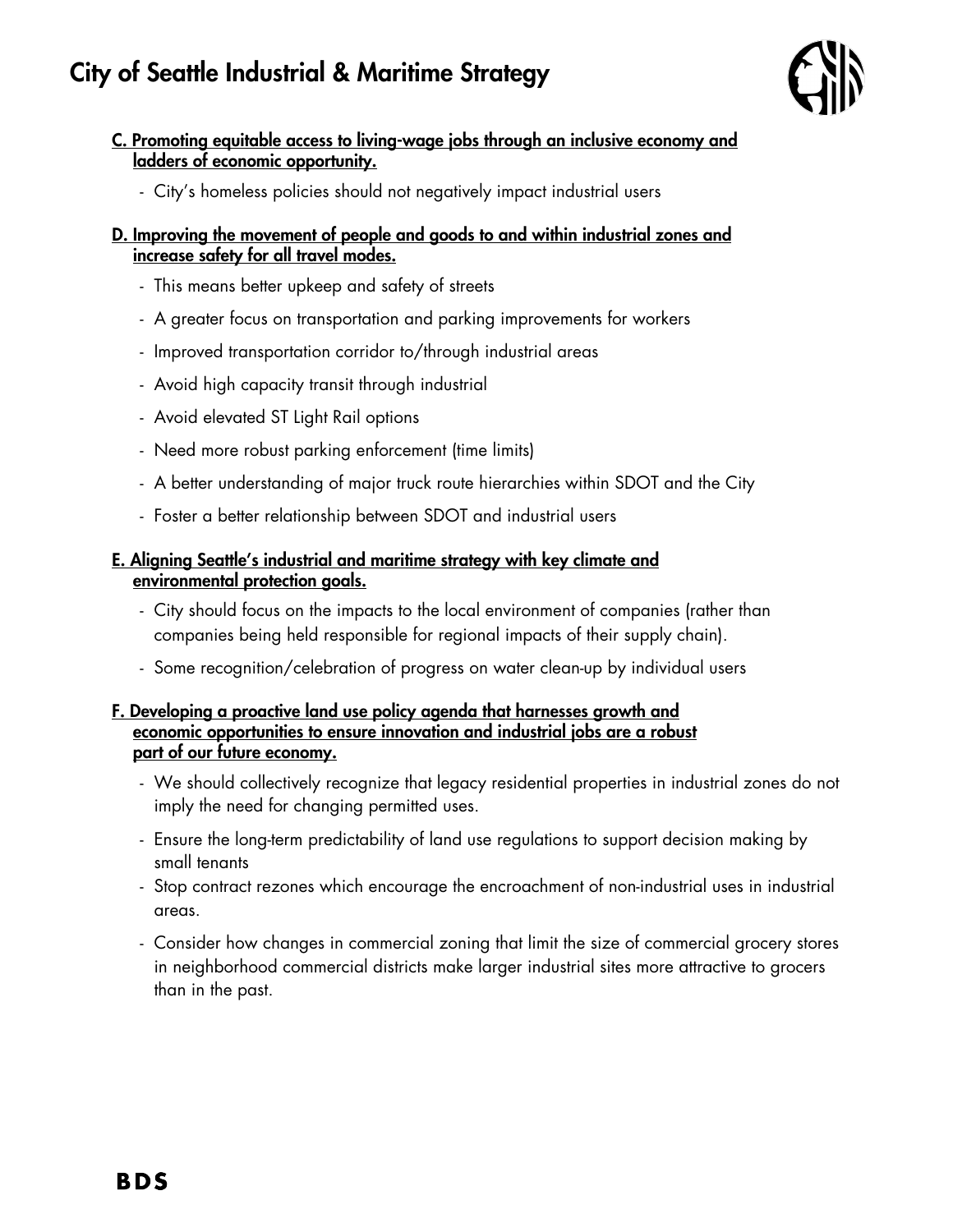# City of Seattle Industrial & Maritime Strategy



- C. Promoting equitable access to living-wage jobs through an inclusive economy and ladders of economic opportunity.
	- City's homeless policies should not negatively impact industrial users

#### D. Improving the movement of people and goods to and within industrial zones and increase safety for all travel modes.

- This means better upkeep and safety of streets
- A greater focus on transportation and parking improvements for workers
- Improved transportation corridor to/through industrial areas
- Avoid high capacity transit through industrial
- Avoid elevated ST Light Rail options
- Need more robust parking enforcement (time limits)
- A better understanding of major truck route hierarchies within SDOT and the City
- Foster a better relationship between SDOT and industrial users

### E. Aligning Seattle's industrial and maritime strategy with key climate and environmental protection goals.

- City should focus on the impacts to the local environment of companies (rather than companies being held responsible for regional impacts of their supply chain).
- Some recognition/celebration of progress on water clean-up by individual users

#### F. Developing a proactive land use policy agenda that harnesses growth and economic opportunities to ensure innovation and industrial jobs are a robust part of our future economy.

- We should collectively recognize that legacy residential properties in industrial zones do not imply the need for changing permitted uses.
- Ensure the long-term predictability of land use regulations to support decision making by small tenants
- Stop contract rezones which encourage the encroachment of non-industrial uses in industrial areas.
- Consider how changes in commercial zoning that limit the size of commercial grocery stores in neighborhood commercial districts make larger industrial sites more attractive to grocers than in the past.